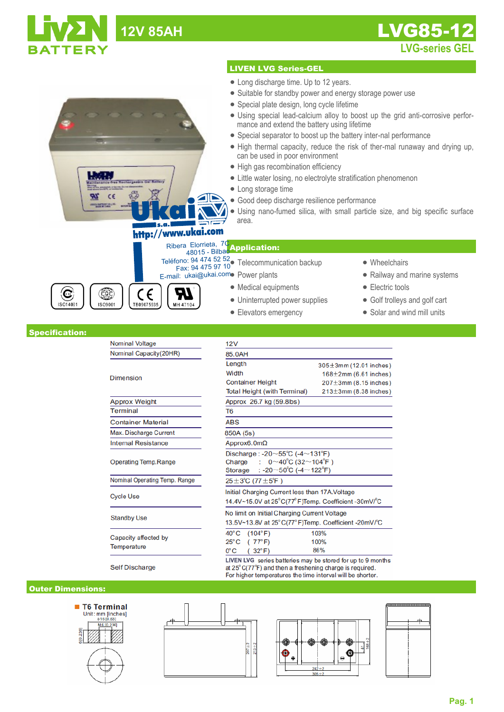|                       | <b>12V 85AH</b>                                        | <b>LVG85-12</b>                                                                                                                                                                                                                                                                                                                                                                                                                                                                                                                                                                                                                                                                                                                                       |  |  |  |  |  |  |  |
|-----------------------|--------------------------------------------------------|-------------------------------------------------------------------------------------------------------------------------------------------------------------------------------------------------------------------------------------------------------------------------------------------------------------------------------------------------------------------------------------------------------------------------------------------------------------------------------------------------------------------------------------------------------------------------------------------------------------------------------------------------------------------------------------------------------------------------------------------------------|--|--|--|--|--|--|--|
| TTERY                 |                                                        | <b>LVG-series GEL</b>                                                                                                                                                                                                                                                                                                                                                                                                                                                                                                                                                                                                                                                                                                                                 |  |  |  |  |  |  |  |
|                       |                                                        | <b>LIVEN LVG Series-GEL</b>                                                                                                                                                                                                                                                                                                                                                                                                                                                                                                                                                                                                                                                                                                                           |  |  |  |  |  |  |  |
|                       | <b>Nechargegold C</b><br>http://www.ukai.com           | • Long discharge time. Up to 12 years.<br>• Suitable for standby power and energy storage power use<br>• Special plate design, long cycle lifetime<br>• Using special lead-calcium alloy to boost up the grid anti-corrosive perfor-<br>mance and extend the battery using lifetime<br>• Special separator to boost up the battery inter-nal performance<br>• High thermal capacity, reduce the risk of ther-mal runaway and drying up,<br>can be used in poor environment<br>• High gas recombination efficiency<br>• Little water losing, no electrolyte stratification phenomenon<br>• Long storage time<br>· Good deep discharge resilience performance<br>• Using nano-fumed silica, with small particle size, and big specific surface<br>area. |  |  |  |  |  |  |  |
| G<br>ISO14001         | $\epsilon$<br>COC<br>ISO9001<br>TB09075935<br>MH 47104 | Ribera Elorrieta, 7C<br>48015 - Bilbao Application:<br>Teléfono: 94 474 52 52<br>Fax: 94 475 97 10<br>Fax: 94 475 97 10<br>• Wheelchairs<br>E-mail: ukai@ukai.como Power plants<br>• Railway and marine systems<br>• Electric tools<br>• Medical equipments<br>• Uninterrupted power supplies<br>• Golf trolleys and golf cart<br>• Solar and wind mill units<br>• Elevators emergency                                                                                                                                                                                                                                                                                                                                                                |  |  |  |  |  |  |  |
| <b>Specification:</b> |                                                        |                                                                                                                                                                                                                                                                                                                                                                                                                                                                                                                                                                                                                                                                                                                                                       |  |  |  |  |  |  |  |
|                       | Nominal Voltage                                        | 12V                                                                                                                                                                                                                                                                                                                                                                                                                                                                                                                                                                                                                                                                                                                                                   |  |  |  |  |  |  |  |
|                       | Nominal Capacity(20HR)<br><b>Dimension</b>             | 85.0AH<br>Length<br>$305 \pm 3$ mm (12.01 inches)<br>Width<br>$168 \pm 2$ mm (6.61 inches)<br><b>Container Height</b><br>$207 \pm 3$ mm (8.15 inches)<br><b>Total Height (with Terminal)</b><br>$213\pm3$ mm (8.38 inches)                                                                                                                                                                                                                                                                                                                                                                                                                                                                                                                            |  |  |  |  |  |  |  |
|                       | <b>Approx Weight</b>                                   | Approx 26.7 kg (59.8lbs)                                                                                                                                                                                                                                                                                                                                                                                                                                                                                                                                                                                                                                                                                                                              |  |  |  |  |  |  |  |
|                       | <b>Terminal</b>                                        | T6                                                                                                                                                                                                                                                                                                                                                                                                                                                                                                                                                                                                                                                                                                                                                    |  |  |  |  |  |  |  |
|                       | <b>Container Material</b>                              | <b>ABS</b>                                                                                                                                                                                                                                                                                                                                                                                                                                                                                                                                                                                                                                                                                                                                            |  |  |  |  |  |  |  |
|                       | Max. Discharge Current                                 | 850A (5s)                                                                                                                                                                                                                                                                                                                                                                                                                                                                                                                                                                                                                                                                                                                                             |  |  |  |  |  |  |  |
|                       | <b>Internal Resistance</b>                             | Approx6.0m $\Omega$                                                                                                                                                                                                                                                                                                                                                                                                                                                                                                                                                                                                                                                                                                                                   |  |  |  |  |  |  |  |
|                       | <b>Operating Temp.Range</b>                            | Discharge: -20 $\sim$ 55°C (-4 $\sim$ 131°F)<br>: $0 \sim 40^{\circ}$ C (32 $\sim$ 104 $^{\circ}$ F)<br>Charge<br>: -20 $\sim$ 50°C (-4 $\sim$ 122°F)<br>Storage                                                                                                                                                                                                                                                                                                                                                                                                                                                                                                                                                                                      |  |  |  |  |  |  |  |
|                       | Nominal Operating Temp. Range                          | $25 \pm 3^{\circ}$ C (77 $\pm 5^{\circ}$ F)                                                                                                                                                                                                                                                                                                                                                                                                                                                                                                                                                                                                                                                                                                           |  |  |  |  |  |  |  |
|                       | <b>Cycle Use</b>                                       | Initial Charging Current less than 17A. Voltage<br>14.4V~15.0V at 25°C(77°F)Temp. Coefficient -30mV/°C                                                                                                                                                                                                                                                                                                                                                                                                                                                                                                                                                                                                                                                |  |  |  |  |  |  |  |

**Standby Use** 

Capacity affected by Temperature

25°C (77°F) 100% 86%  $0^{\circ}$ C  $(32^{\circ}F)$ LIVEN LVG series batteries may be stored for up to 9 months at  $25^{\circ}C(77^{\circ}F)$  and then a freshening charge is required.<br>For higher temperatures the time interval will be shorter.

13.5V~13.8V at 25°C(77°F)Temp. Coefficient -20mV/°C

103%

No limit on Initial Charging Current Voltage

 $40^{\circ}$ C (104 $^{\circ}$ F)

Self Discharge